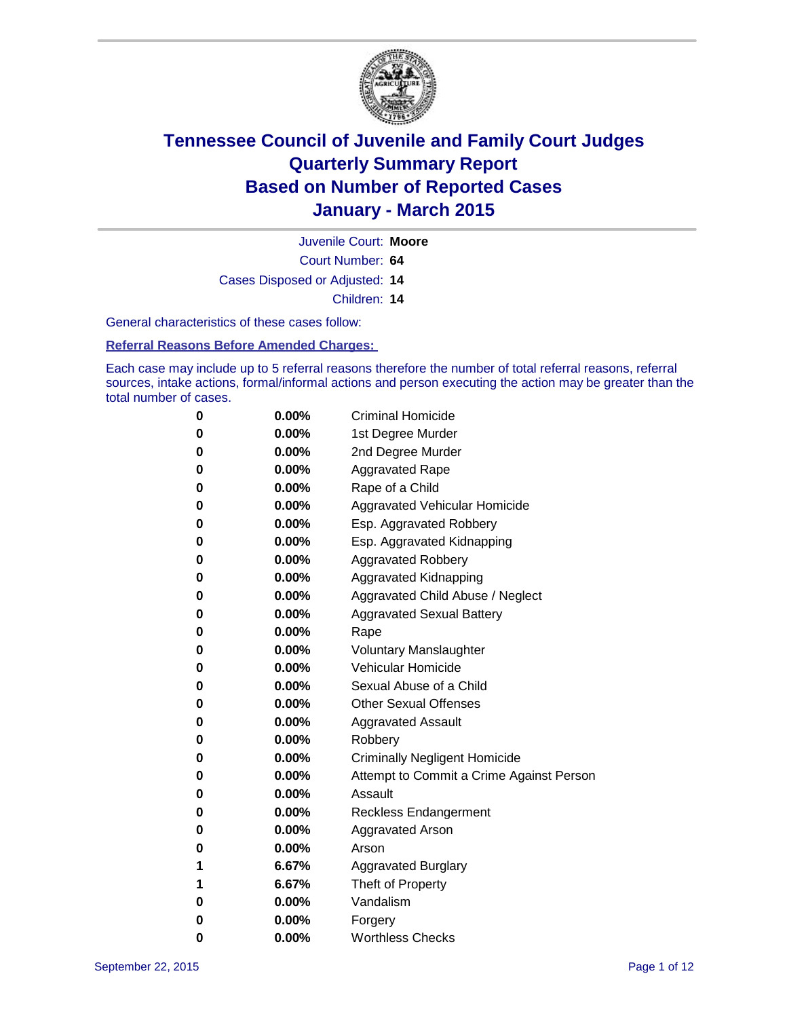

Juvenile Court: **Moore**

Court Number: **64**

Cases Disposed or Adjusted: **14**

Children: **14**

General characteristics of these cases follow:

**Referral Reasons Before Amended Charges:** 

Each case may include up to 5 referral reasons therefore the number of total referral reasons, referral sources, intake actions, formal/informal actions and person executing the action may be greater than the total number of cases.

| 0        | $0.00\%$ | <b>Criminal Homicide</b>                 |
|----------|----------|------------------------------------------|
| 0        | $0.00\%$ | 1st Degree Murder                        |
| 0        | $0.00\%$ | 2nd Degree Murder                        |
| 0        | $0.00\%$ | <b>Aggravated Rape</b>                   |
| 0        | $0.00\%$ | Rape of a Child                          |
| $\bf{0}$ | $0.00\%$ | Aggravated Vehicular Homicide            |
| 0        | $0.00\%$ | Esp. Aggravated Robbery                  |
| 0        | $0.00\%$ | Esp. Aggravated Kidnapping               |
| $\bf{0}$ | 0.00%    | <b>Aggravated Robbery</b>                |
| 0        | $0.00\%$ | <b>Aggravated Kidnapping</b>             |
| 0        | $0.00\%$ | Aggravated Child Abuse / Neglect         |
| $\bf{0}$ | $0.00\%$ | <b>Aggravated Sexual Battery</b>         |
| 0        | $0.00\%$ | Rape                                     |
| 0        | 0.00%    | <b>Voluntary Manslaughter</b>            |
| $\bf{0}$ | 0.00%    | <b>Vehicular Homicide</b>                |
| 0        | $0.00\%$ | Sexual Abuse of a Child                  |
| 0        | $0.00\%$ | <b>Other Sexual Offenses</b>             |
| $\bf{0}$ | $0.00\%$ | <b>Aggravated Assault</b>                |
| 0        | $0.00\%$ | Robbery                                  |
| 0        | $0.00\%$ | <b>Criminally Negligent Homicide</b>     |
| $\bf{0}$ | $0.00\%$ | Attempt to Commit a Crime Against Person |
| 0        | $0.00\%$ | Assault                                  |
| 0        | $0.00\%$ | <b>Reckless Endangerment</b>             |
| $\bf{0}$ | $0.00\%$ | <b>Aggravated Arson</b>                  |
| 0        | $0.00\%$ | Arson                                    |
| 1        | 6.67%    | <b>Aggravated Burglary</b>               |
| 1        | 6.67%    | Theft of Property                        |
| 0        | $0.00\%$ | Vandalism                                |
| 0        | 0.00%    | Forgery                                  |
| 0        | $0.00\%$ | <b>Worthless Checks</b>                  |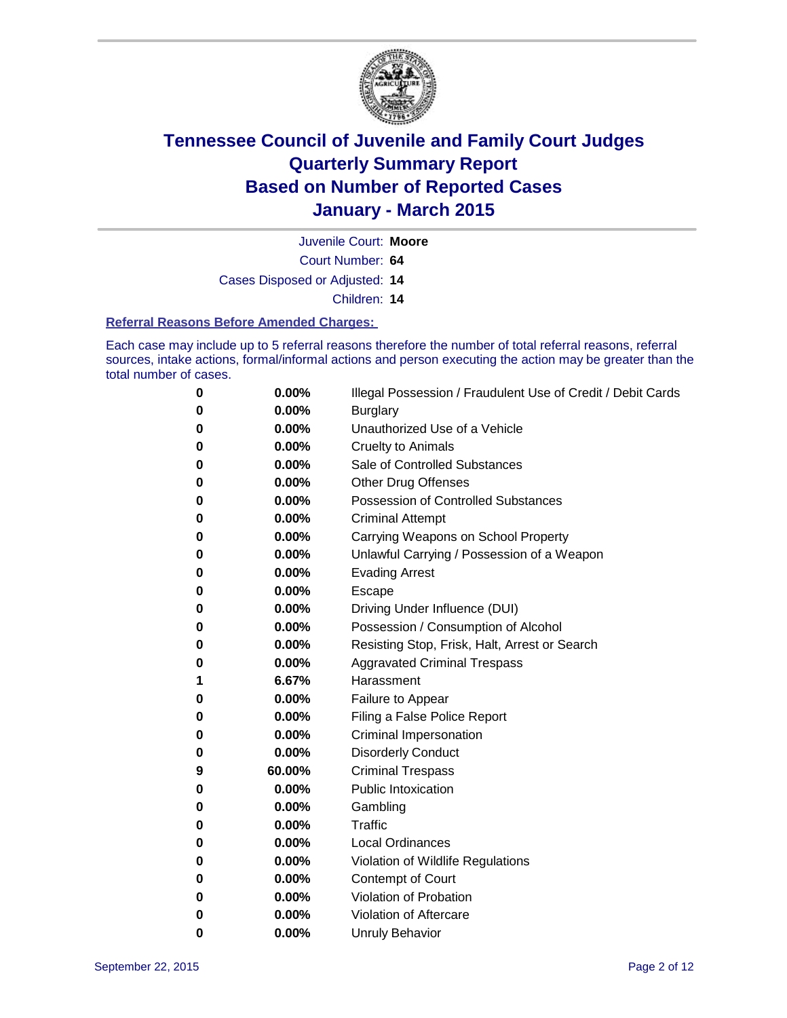

Juvenile Court: **Moore**

Court Number: **64**

Cases Disposed or Adjusted: **14**

Children: **14**

#### **Referral Reasons Before Amended Charges:**

Each case may include up to 5 referral reasons therefore the number of total referral reasons, referral sources, intake actions, formal/informal actions and person executing the action may be greater than the total number of cases.

| 0 | 0.00%  | Illegal Possession / Fraudulent Use of Credit / Debit Cards |
|---|--------|-------------------------------------------------------------|
| 0 | 0.00%  | <b>Burglary</b>                                             |
| 0 | 0.00%  | Unauthorized Use of a Vehicle                               |
| 0 | 0.00%  | <b>Cruelty to Animals</b>                                   |
| 0 | 0.00%  | Sale of Controlled Substances                               |
| 0 | 0.00%  | <b>Other Drug Offenses</b>                                  |
| 0 | 0.00%  | Possession of Controlled Substances                         |
| 0 | 0.00%  | <b>Criminal Attempt</b>                                     |
| 0 | 0.00%  | Carrying Weapons on School Property                         |
| 0 | 0.00%  | Unlawful Carrying / Possession of a Weapon                  |
| 0 | 0.00%  | <b>Evading Arrest</b>                                       |
| 0 | 0.00%  | Escape                                                      |
| 0 | 0.00%  | Driving Under Influence (DUI)                               |
| 0 | 0.00%  | Possession / Consumption of Alcohol                         |
| 0 | 0.00%  | Resisting Stop, Frisk, Halt, Arrest or Search               |
| 0 | 0.00%  | <b>Aggravated Criminal Trespass</b>                         |
| 1 | 6.67%  | Harassment                                                  |
| 0 | 0.00%  | Failure to Appear                                           |
| 0 | 0.00%  | Filing a False Police Report                                |
| 0 | 0.00%  | Criminal Impersonation                                      |
| 0 | 0.00%  | <b>Disorderly Conduct</b>                                   |
| 9 | 60.00% | <b>Criminal Trespass</b>                                    |
| 0 | 0.00%  | <b>Public Intoxication</b>                                  |
| 0 | 0.00%  | Gambling                                                    |
| 0 | 0.00%  | Traffic                                                     |
| 0 | 0.00%  | <b>Local Ordinances</b>                                     |
| 0 | 0.00%  | Violation of Wildlife Regulations                           |
| 0 | 0.00%  | Contempt of Court                                           |
| 0 | 0.00%  | Violation of Probation                                      |
| 0 | 0.00%  | Violation of Aftercare                                      |
| 0 | 0.00%  | <b>Unruly Behavior</b>                                      |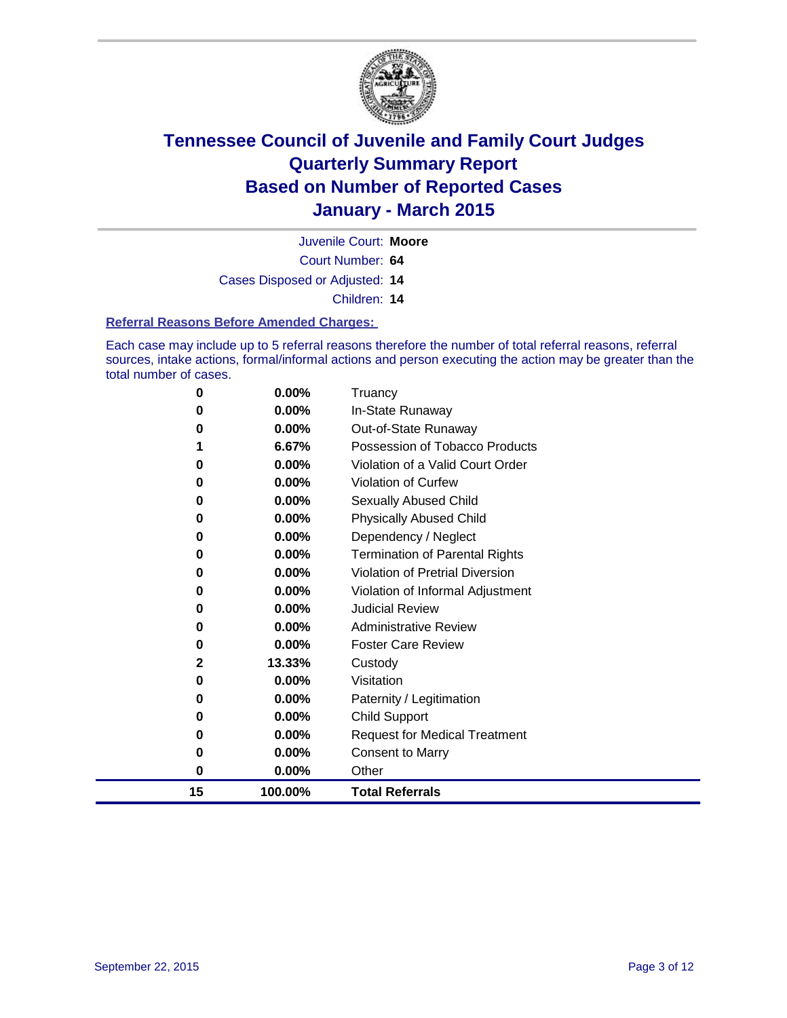

Juvenile Court: **Moore**

Court Number: **64**

Cases Disposed or Adjusted: **14**

Children: **14**

#### **Referral Reasons Before Amended Charges:**

Each case may include up to 5 referral reasons therefore the number of total referral reasons, referral sources, intake actions, formal/informal actions and person executing the action may be greater than the total number of cases.

| 0  | 0.00%    | Truancy                               |
|----|----------|---------------------------------------|
| 0  | 0.00%    | In-State Runaway                      |
| 0  | $0.00\%$ | Out-of-State Runaway                  |
| 1  | 6.67%    | Possession of Tobacco Products        |
| 0  | $0.00\%$ | Violation of a Valid Court Order      |
| 0  | 0.00%    | <b>Violation of Curfew</b>            |
| 0  | $0.00\%$ | Sexually Abused Child                 |
| 0  | 0.00%    | <b>Physically Abused Child</b>        |
| 0  | $0.00\%$ | Dependency / Neglect                  |
| 0  | $0.00\%$ | <b>Termination of Parental Rights</b> |
| 0  | $0.00\%$ | Violation of Pretrial Diversion       |
| 0  | $0.00\%$ | Violation of Informal Adjustment      |
| 0  | $0.00\%$ | <b>Judicial Review</b>                |
| 0  | 0.00%    | <b>Administrative Review</b>          |
| 0  | 0.00%    | <b>Foster Care Review</b>             |
| 2  | 13.33%   | Custody                               |
| 0  | 0.00%    | Visitation                            |
| 0  | 0.00%    | Paternity / Legitimation              |
| 0  | 0.00%    | <b>Child Support</b>                  |
| 0  | 0.00%    | <b>Request for Medical Treatment</b>  |
| 0  | 0.00%    | <b>Consent to Marry</b>               |
| 0  | 0.00%    | Other                                 |
| 15 | 100.00%  | <b>Total Referrals</b>                |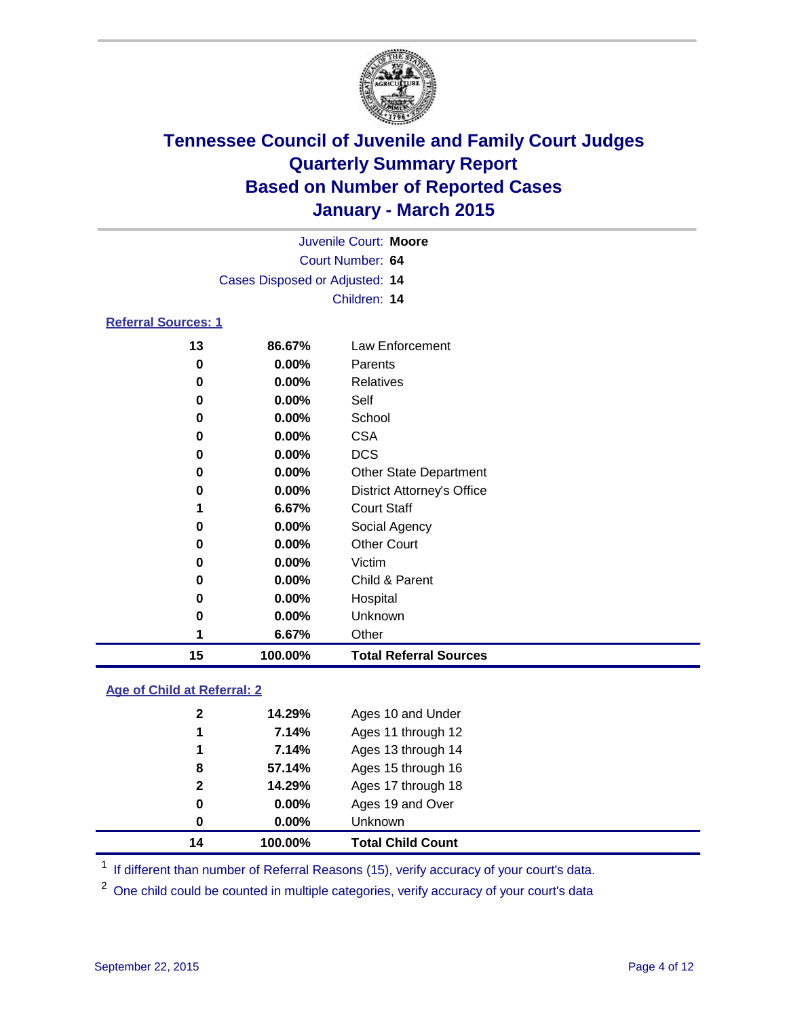

| Juvenile Court: Moore          |                  |                                   |  |  |  |  |
|--------------------------------|------------------|-----------------------------------|--|--|--|--|
|                                | Court Number: 64 |                                   |  |  |  |  |
| Cases Disposed or Adjusted: 14 |                  |                                   |  |  |  |  |
|                                |                  | Children: 14                      |  |  |  |  |
| <b>Referral Sources: 1</b>     |                  |                                   |  |  |  |  |
| 13                             | 86.67%           | Law Enforcement                   |  |  |  |  |
| 0                              | $0.00\%$         | Parents                           |  |  |  |  |
| 0                              | $0.00\%$         | <b>Relatives</b>                  |  |  |  |  |
| 0                              | 0.00%            | Self                              |  |  |  |  |
| 0                              | $0.00\%$         | School                            |  |  |  |  |
| 0                              | $0.00\%$         | <b>CSA</b>                        |  |  |  |  |
| 0                              | 0.00%            | <b>DCS</b>                        |  |  |  |  |
| 0                              | 0.00%            | <b>Other State Department</b>     |  |  |  |  |
| 0                              | $0.00\%$         | <b>District Attorney's Office</b> |  |  |  |  |
| 1                              | 6.67%            | <b>Court Staff</b>                |  |  |  |  |
| 0                              | 0.00%            | Social Agency                     |  |  |  |  |
| 0                              | $0.00\%$         | <b>Other Court</b>                |  |  |  |  |
| 0                              | 0.00%            | Victim                            |  |  |  |  |
| 0                              | 0.00%            | Child & Parent                    |  |  |  |  |
| 0                              | 0.00%            | Hospital                          |  |  |  |  |
| 0                              | 0.00%            | Unknown                           |  |  |  |  |
| 1                              | 6.67%            | Other                             |  |  |  |  |
| 15                             | 100.00%          | <b>Total Referral Sources</b>     |  |  |  |  |

#### **Age of Child at Referral: 2**

| 0<br>0 | $0.00\%$<br>0.00% | Ages 19 and Over<br>Unknown |
|--------|-------------------|-----------------------------|
|        |                   |                             |
|        |                   |                             |
|        |                   | Ages 17 through 18          |
| 8      | 57.14%            | Ages 15 through 16          |
| 1      | 7.14%             | Ages 13 through 14          |
| 1      | 7.14%             | Ages 11 through 12          |
| 2      | 14.29%            | Ages 10 and Under           |
|        |                   | $\mathbf{2}$<br>14.29%      |

<sup>1</sup> If different than number of Referral Reasons (15), verify accuracy of your court's data.

One child could be counted in multiple categories, verify accuracy of your court's data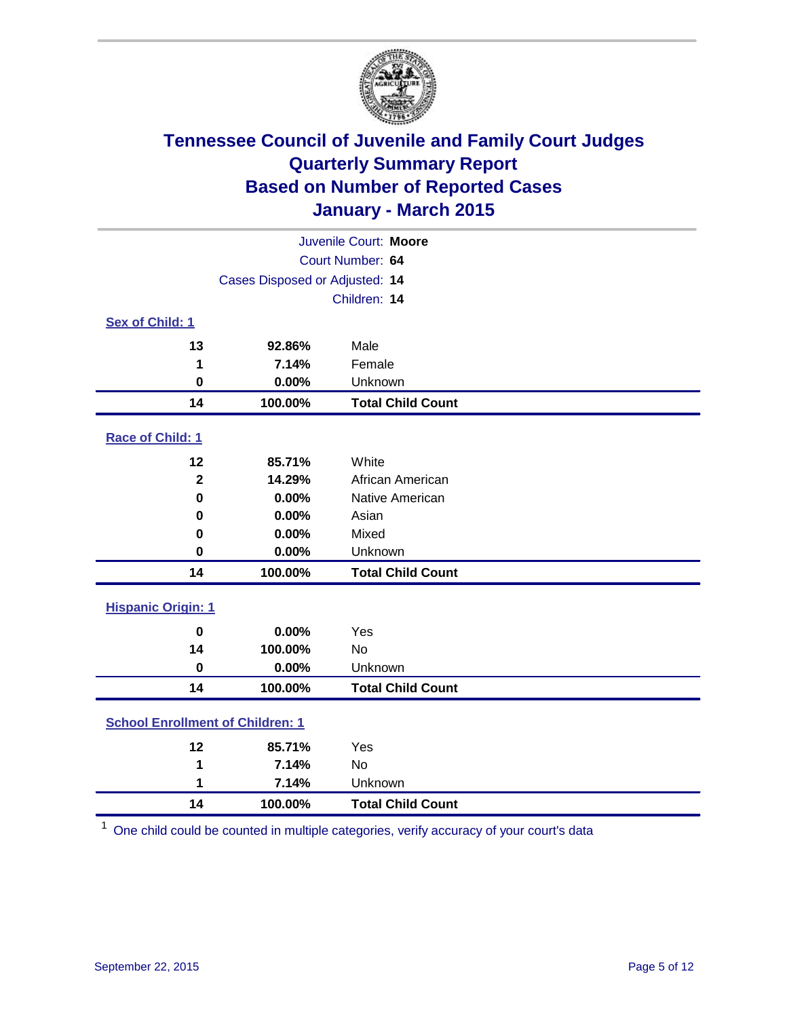

| Juvenile Court: Moore                   |         |                          |  |  |
|-----------------------------------------|---------|--------------------------|--|--|
| Court Number: 64                        |         |                          |  |  |
| Cases Disposed or Adjusted: 14          |         |                          |  |  |
|                                         |         | Children: 14             |  |  |
| <b>Sex of Child: 1</b>                  |         |                          |  |  |
| 13                                      | 92.86%  | Male                     |  |  |
| 1                                       | 7.14%   | Female                   |  |  |
| $\bf{0}$                                | 0.00%   | Unknown                  |  |  |
| 14                                      | 100.00% | <b>Total Child Count</b> |  |  |
| Race of Child: 1                        |         |                          |  |  |
| 12                                      | 85.71%  | White                    |  |  |
| $\overline{\mathbf{2}}$                 | 14.29%  | African American         |  |  |
| $\bf{0}$                                | 0.00%   | Native American          |  |  |
| 0                                       | 0.00%   | Asian                    |  |  |
| 0                                       | 0.00%   | Mixed                    |  |  |
| 0                                       | 0.00%   | Unknown                  |  |  |
| 14                                      | 100.00% | <b>Total Child Count</b> |  |  |
| <b>Hispanic Origin: 1</b>               |         |                          |  |  |
| $\bf{0}$                                | 0.00%   | Yes                      |  |  |
| 14                                      | 100.00% | No                       |  |  |
| $\bf{0}$                                | 0.00%   | Unknown                  |  |  |
| 14                                      | 100.00% | <b>Total Child Count</b> |  |  |
| <b>School Enrollment of Children: 1</b> |         |                          |  |  |
| 12                                      | 85.71%  | Yes                      |  |  |
| 1                                       | 7.14%   | No                       |  |  |
| 1                                       | 7.14%   | Unknown                  |  |  |
| 14                                      | 100.00% | <b>Total Child Count</b> |  |  |

One child could be counted in multiple categories, verify accuracy of your court's data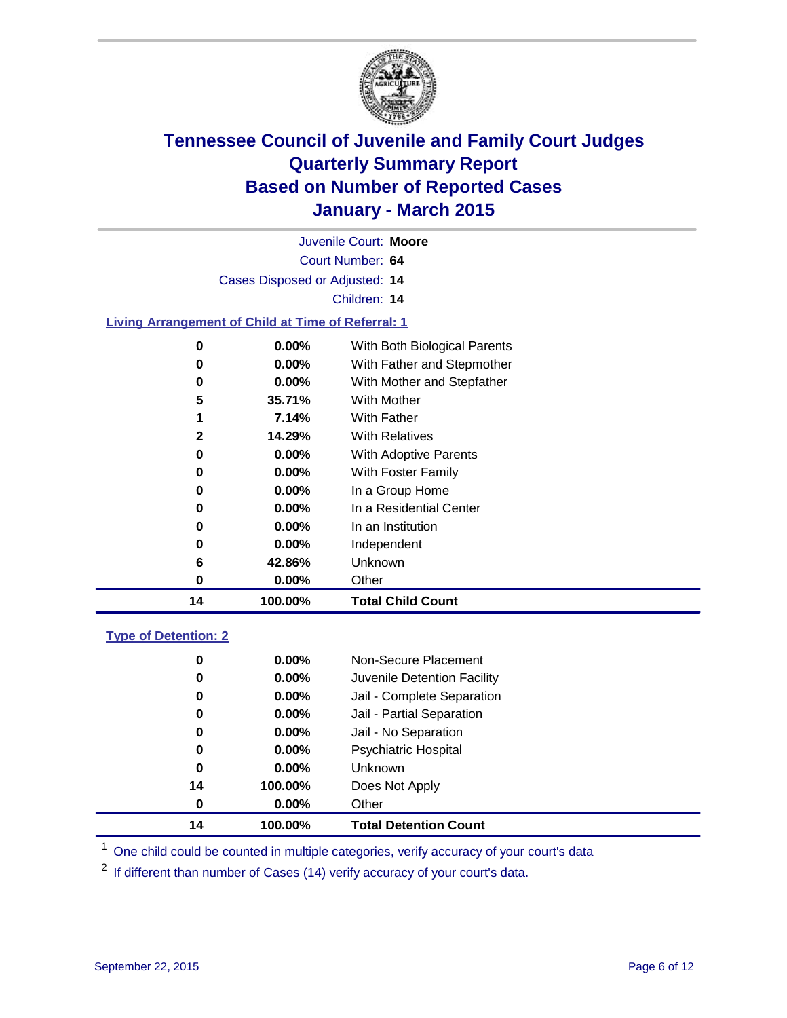

| Juvenile Court: Moore       |                                                           |                                        |  |  |  |
|-----------------------------|-----------------------------------------------------------|----------------------------------------|--|--|--|
|                             | Court Number: 64                                          |                                        |  |  |  |
|                             | Cases Disposed or Adjusted: 14                            |                                        |  |  |  |
|                             |                                                           | Children: 14                           |  |  |  |
|                             | <b>Living Arrangement of Child at Time of Referral: 1</b> |                                        |  |  |  |
| $\pmb{0}$                   | 0.00%                                                     | With Both Biological Parents           |  |  |  |
| 0                           | 0.00%                                                     | With Father and Stepmother             |  |  |  |
| 0                           | $0.00\%$                                                  | With Mother and Stepfather             |  |  |  |
| 5                           | 35.71%                                                    | <b>With Mother</b>                     |  |  |  |
| 1                           | 7.14%                                                     | <b>With Father</b>                     |  |  |  |
| $\mathbf 2$                 | 14.29%                                                    | <b>With Relatives</b>                  |  |  |  |
| 0                           | 0.00%                                                     | With Adoptive Parents                  |  |  |  |
| 0                           | 0.00%                                                     | With Foster Family                     |  |  |  |
| 0                           | 0.00%                                                     | In a Group Home                        |  |  |  |
| 0                           | 0.00%                                                     | In a Residential Center                |  |  |  |
| 0                           | 0.00%                                                     | In an Institution                      |  |  |  |
| 0                           | 0.00%                                                     | Independent                            |  |  |  |
| 6                           | 42.86%                                                    | Unknown                                |  |  |  |
| $\mathbf 0$                 | 0.00%                                                     | Other                                  |  |  |  |
| 14                          | 100.00%                                                   | <b>Total Child Count</b>               |  |  |  |
| <b>Type of Detention: 2</b> |                                                           |                                        |  |  |  |
|                             | 0.00%                                                     | Non-Secure Placement                   |  |  |  |
| 0                           |                                                           |                                        |  |  |  |
| 0                           | 0.00%                                                     | Juvenile Detention Facility            |  |  |  |
| 0                           | $0.00\%$                                                  | Jail - Complete Separation             |  |  |  |
| 0                           | 0.00%                                                     | Jail - Partial Separation              |  |  |  |
| 0                           | $0.00\%$                                                  | Jail - No Separation                   |  |  |  |
| 0                           | 0.00%<br>0.00%                                            | <b>Psychiatric Hospital</b><br>Unknown |  |  |  |
| 0<br>14                     | 100.00%                                                   |                                        |  |  |  |
|                             |                                                           | Does Not Apply                         |  |  |  |
| $\pmb{0}$                   | 0.00%                                                     | Other                                  |  |  |  |
| 14                          | 100.00%                                                   | <b>Total Detention Count</b>           |  |  |  |

<sup>1</sup> One child could be counted in multiple categories, verify accuracy of your court's data

If different than number of Cases (14) verify accuracy of your court's data.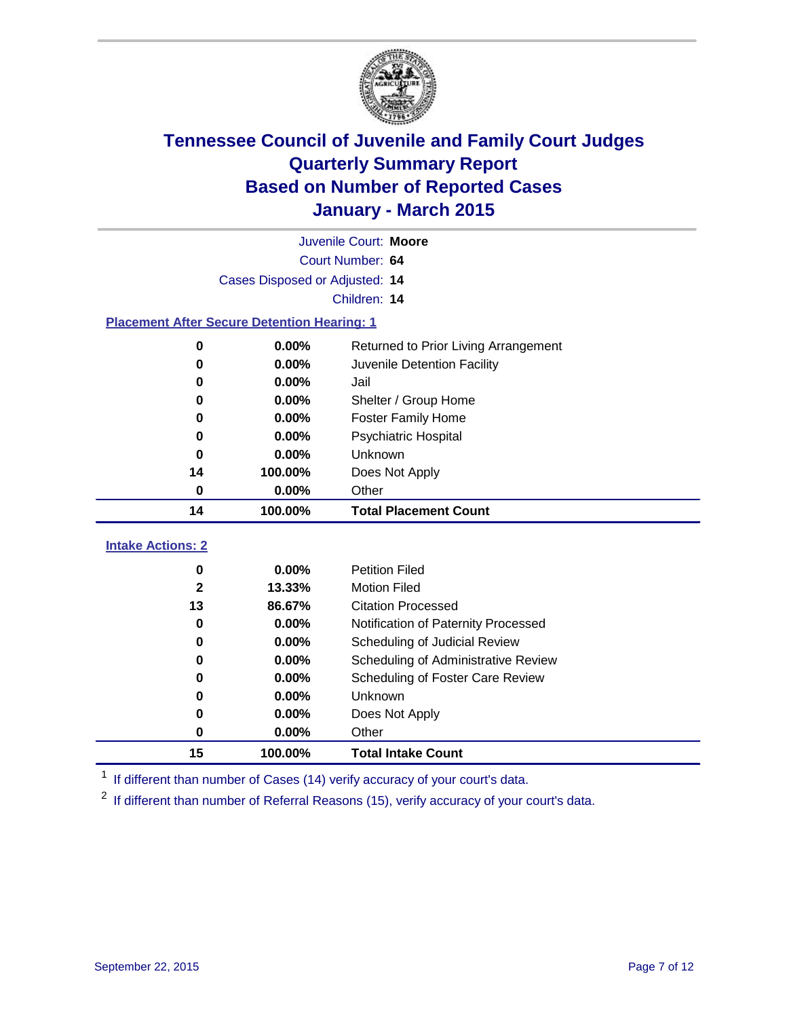

|                                                    | Juvenile Court: Moore          |                                      |  |  |  |  |
|----------------------------------------------------|--------------------------------|--------------------------------------|--|--|--|--|
|                                                    | Court Number: 64               |                                      |  |  |  |  |
|                                                    | Cases Disposed or Adjusted: 14 |                                      |  |  |  |  |
|                                                    | Children: 14                   |                                      |  |  |  |  |
| <b>Placement After Secure Detention Hearing: 1</b> |                                |                                      |  |  |  |  |
| $\pmb{0}$                                          | 0.00%                          | Returned to Prior Living Arrangement |  |  |  |  |
| 0                                                  | 0.00%                          | Juvenile Detention Facility          |  |  |  |  |
| 0                                                  | 0.00%                          | Jail                                 |  |  |  |  |
| 0                                                  | 0.00%                          | Shelter / Group Home                 |  |  |  |  |
| 0                                                  | 0.00%                          | <b>Foster Family Home</b>            |  |  |  |  |
| 0                                                  | 0.00%                          | Psychiatric Hospital                 |  |  |  |  |
| 0                                                  | 0.00%                          | Unknown                              |  |  |  |  |
| 14                                                 | 100.00%                        | Does Not Apply                       |  |  |  |  |
| 0                                                  | 0.00%                          | Other                                |  |  |  |  |
| 14                                                 | 100.00%                        | <b>Total Placement Count</b>         |  |  |  |  |
|                                                    |                                |                                      |  |  |  |  |
| <b>Intake Actions: 2</b>                           |                                |                                      |  |  |  |  |
| 0                                                  | 0.00%                          | <b>Petition Filed</b>                |  |  |  |  |
| $\mathbf{2}$                                       | 13.33%                         | <b>Motion Filed</b>                  |  |  |  |  |
| 13                                                 | 86.67%                         | <b>Citation Processed</b>            |  |  |  |  |
| 0                                                  | 0.00%                          | Notification of Paternity Processed  |  |  |  |  |
| 0                                                  | 0.00%                          | Scheduling of Judicial Review        |  |  |  |  |
| 0                                                  | 0.00%                          | Scheduling of Administrative Review  |  |  |  |  |
| 0                                                  | 0.00%                          | Scheduling of Foster Care Review     |  |  |  |  |
| $\bf{0}$                                           | 0.00%                          | Unknown                              |  |  |  |  |
| 0                                                  | 0.00%                          | Does Not Apply                       |  |  |  |  |
| 0                                                  | 0.00%                          | Other                                |  |  |  |  |
| 15                                                 | 100.00%                        | <b>Total Intake Count</b>            |  |  |  |  |

<sup>1</sup> If different than number of Cases (14) verify accuracy of your court's data.

<sup>2</sup> If different than number of Referral Reasons (15), verify accuracy of your court's data.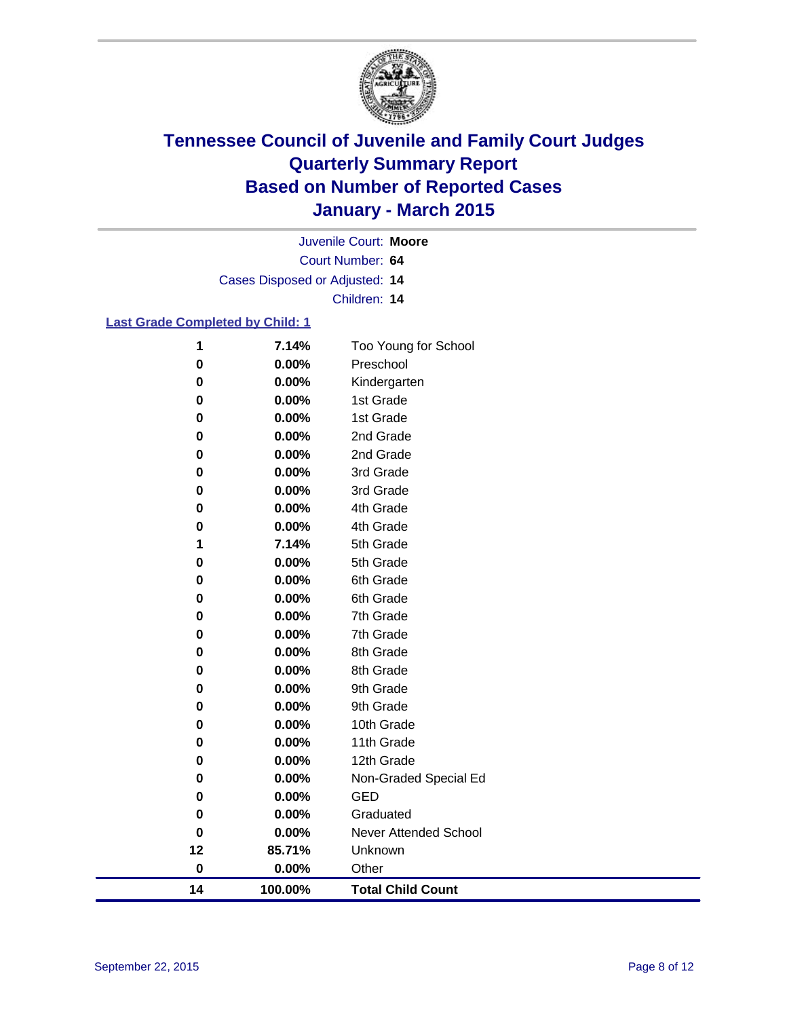

Court Number: **64** Juvenile Court: **Moore** Cases Disposed or Adjusted: **14** Children: **14**

#### **Last Grade Completed by Child: 1**

| 14          | 100.00%        | <b>Total Child Count</b>     |
|-------------|----------------|------------------------------|
| $\pmb{0}$   | 0.00%          | Other                        |
| 12          | 85.71%         | Unknown                      |
| 0           | 0.00%          | <b>Never Attended School</b> |
| 0           | 0.00%          | Graduated                    |
| 0           | 0.00%          | <b>GED</b>                   |
| 0           | $0.00\%$       | Non-Graded Special Ed        |
| $\mathbf 0$ | 0.00%          | 12th Grade                   |
| 0           | 0.00%          | 11th Grade                   |
| 0           | 0.00%          | 10th Grade                   |
| 0           | 0.00%          | 9th Grade                    |
| 0           | 0.00%          | 9th Grade                    |
| 0           | 0.00%          | 8th Grade                    |
| 0           | 0.00%          | 8th Grade                    |
| 0           | 0.00%          | 7th Grade                    |
| 0           | 0.00%          | 7th Grade                    |
| 0           | 0.00%          | 6th Grade                    |
| 0<br>0      | 0.00%          | 6th Grade                    |
| 1           | 7.14%<br>0.00% | 5th Grade<br>5th Grade       |
| 0           | 0.00%          | 4th Grade                    |
| 0           | 0.00%          | 4th Grade                    |
| $\pmb{0}$   | 0.00%          | 3rd Grade                    |
| 0           | 0.00%          | 3rd Grade                    |
| 0           | 0.00%          | 2nd Grade                    |
| 0           | 0.00%          | 2nd Grade                    |
| 0           | 0.00%          | 1st Grade                    |
| 0           | 0.00%          | 1st Grade                    |
| 0           | 0.00%          | Kindergarten                 |
| 0           | 0.00%          | Preschool                    |
| 1           | 7.14%          | Too Young for School         |
|             |                |                              |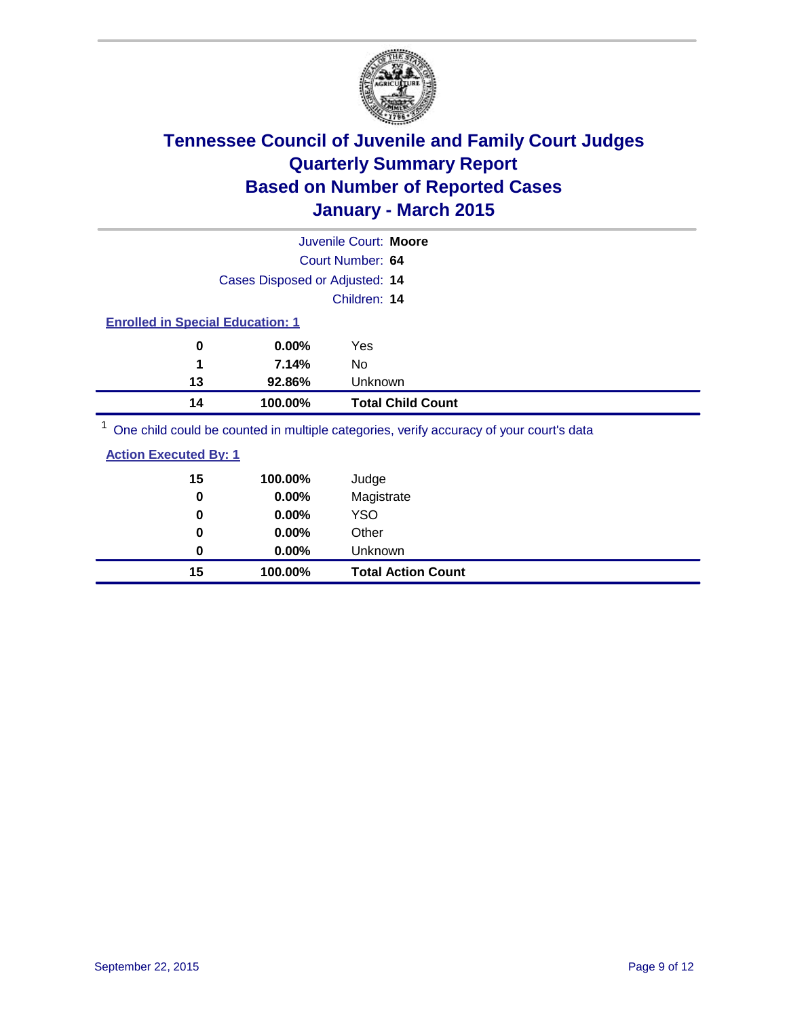

|                                         |                                | Juvenile Court: Moore                                                                    |
|-----------------------------------------|--------------------------------|------------------------------------------------------------------------------------------|
|                                         |                                | Court Number: 64                                                                         |
|                                         | Cases Disposed or Adjusted: 14 |                                                                                          |
|                                         |                                | Children: 14                                                                             |
| <b>Enrolled in Special Education: 1</b> |                                |                                                                                          |
| 0                                       | $0.00\%$                       | Yes                                                                                      |
| 1                                       | 7.14%                          | No.                                                                                      |
| 13                                      | 92.86%                         | Unknown                                                                                  |
| 14                                      | 100.00%                        | <b>Total Child Count</b>                                                                 |
|                                         |                                | One objet could be counted in multiple optogeties, verify occurrent of your courtie data |

<sup>1</sup> One child could be counted in multiple categories, verify accuracy of your court's data

| <b>Action Executed By: 1</b> |
|------------------------------|
|------------------------------|

| 15<br>0 | 100.00%<br>0.00% | Judge<br>Magistrate       |
|---------|------------------|---------------------------|
| 0       | $0.00\%$         | <b>YSO</b>                |
| 0       | 0.00%            | Other                     |
| 0       | $0.00\%$         | Unknown                   |
| 15      | 100.00%          | <b>Total Action Count</b> |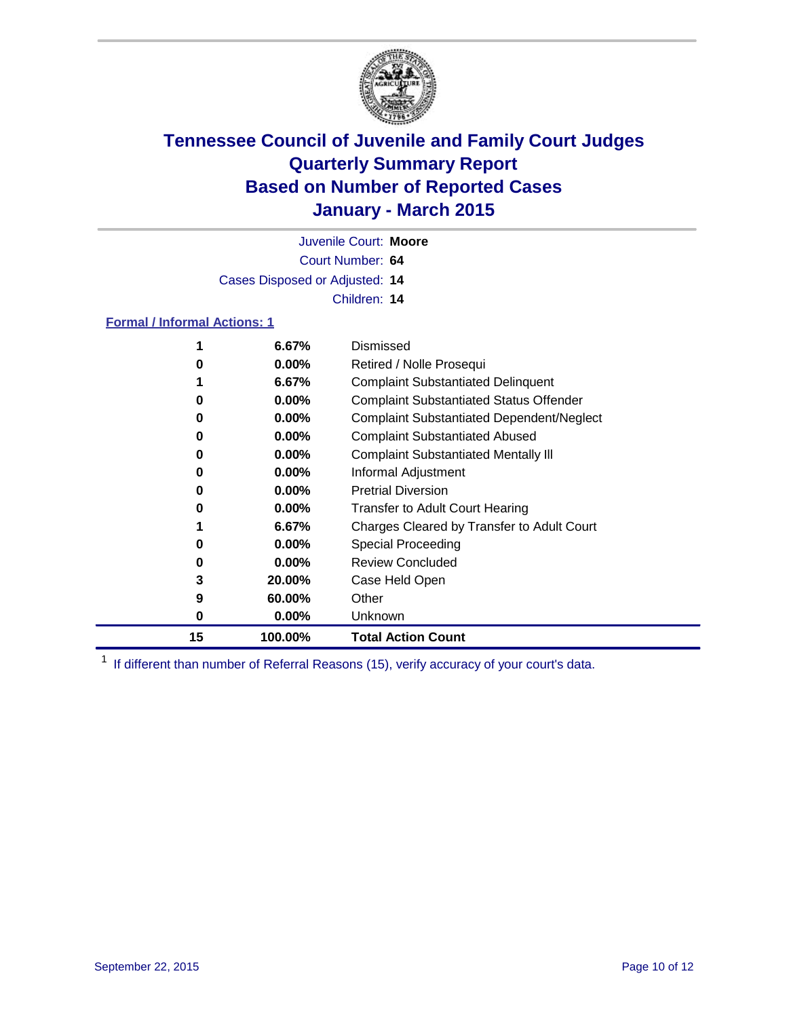

Court Number: **64** Juvenile Court: **Moore** Cases Disposed or Adjusted: **14** Children: **14**

#### **Formal / Informal Actions: 1**

| 1  | 6.67%    | Dismissed                                        |
|----|----------|--------------------------------------------------|
| 0  | $0.00\%$ | Retired / Nolle Prosequi                         |
|    | 6.67%    | <b>Complaint Substantiated Delinquent</b>        |
| 0  | $0.00\%$ | <b>Complaint Substantiated Status Offender</b>   |
| 0  | $0.00\%$ | <b>Complaint Substantiated Dependent/Neglect</b> |
| 0  | $0.00\%$ | <b>Complaint Substantiated Abused</b>            |
| 0  | $0.00\%$ | <b>Complaint Substantiated Mentally III</b>      |
| 0  | $0.00\%$ | Informal Adjustment                              |
| 0  | $0.00\%$ | <b>Pretrial Diversion</b>                        |
| 0  | $0.00\%$ | <b>Transfer to Adult Court Hearing</b>           |
|    | 6.67%    | Charges Cleared by Transfer to Adult Court       |
| 0  | $0.00\%$ | <b>Special Proceeding</b>                        |
| 0  | $0.00\%$ | <b>Review Concluded</b>                          |
| 3  | 20.00%   | Case Held Open                                   |
| 9  | 60.00%   | Other                                            |
| 0  | $0.00\%$ | Unknown                                          |
| 15 | 100.00%  | <b>Total Action Count</b>                        |

<sup>1</sup> If different than number of Referral Reasons (15), verify accuracy of your court's data.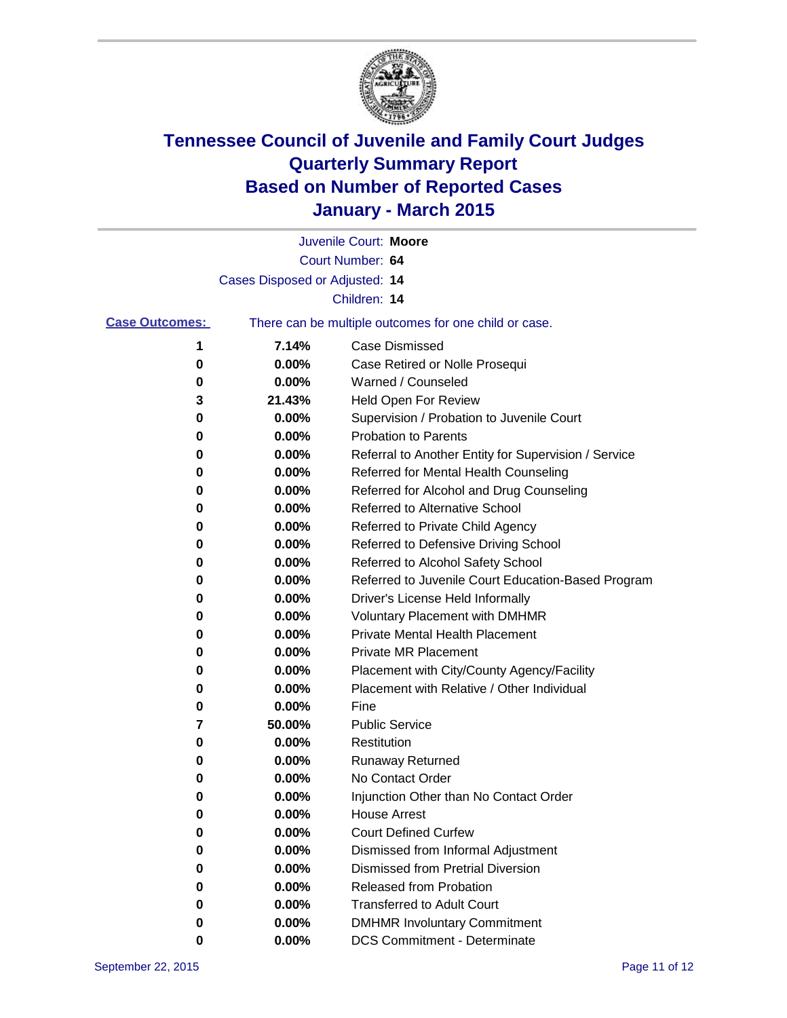

|                       |                                | Juvenile Court: Moore                                 |
|-----------------------|--------------------------------|-------------------------------------------------------|
|                       |                                | Court Number: 64                                      |
|                       | Cases Disposed or Adjusted: 14 |                                                       |
|                       |                                | Children: 14                                          |
| <b>Case Outcomes:</b> |                                | There can be multiple outcomes for one child or case. |
| 1                     | 7.14%                          | <b>Case Dismissed</b>                                 |
| 0                     | 0.00%                          | Case Retired or Nolle Prosequi                        |
| 0                     | 0.00%                          | Warned / Counseled                                    |
| 3                     | 21.43%                         | Held Open For Review                                  |
| 0                     | 0.00%                          | Supervision / Probation to Juvenile Court             |
| 0                     | 0.00%                          | <b>Probation to Parents</b>                           |
| 0                     | 0.00%                          | Referral to Another Entity for Supervision / Service  |
| 0                     | 0.00%                          | Referred for Mental Health Counseling                 |
| 0                     | 0.00%                          | Referred for Alcohol and Drug Counseling              |
| 0                     | 0.00%                          | <b>Referred to Alternative School</b>                 |
| 0                     | 0.00%                          | Referred to Private Child Agency                      |
| 0                     | 0.00%                          | Referred to Defensive Driving School                  |
| 0                     | 0.00%                          | Referred to Alcohol Safety School                     |
| 0                     | 0.00%                          | Referred to Juvenile Court Education-Based Program    |
| 0                     | 0.00%                          | Driver's License Held Informally                      |
| 0                     | 0.00%                          | <b>Voluntary Placement with DMHMR</b>                 |
| 0                     | 0.00%                          | Private Mental Health Placement                       |
| 0                     | 0.00%                          | <b>Private MR Placement</b>                           |
| 0                     | 0.00%                          | Placement with City/County Agency/Facility            |
| 0                     | 0.00%                          | Placement with Relative / Other Individual            |
| 0                     | 0.00%                          | Fine                                                  |
| 7                     | 50.00%                         | <b>Public Service</b>                                 |
| 0                     | 0.00%                          | Restitution                                           |
| 0                     | 0.00%                          | <b>Runaway Returned</b>                               |
| 0                     | 0.00%                          | No Contact Order                                      |
| 0                     | 0.00%                          | Injunction Other than No Contact Order                |
| 0                     | 0.00%                          | <b>House Arrest</b>                                   |
| 0                     | 0.00%                          | <b>Court Defined Curfew</b>                           |
| 0                     | 0.00%                          | Dismissed from Informal Adjustment                    |
| 0                     | 0.00%                          | Dismissed from Pretrial Diversion                     |
| 0                     | 0.00%                          | Released from Probation                               |
| 0                     | 0.00%                          | <b>Transferred to Adult Court</b>                     |
| 0                     | 0.00%                          | <b>DMHMR Involuntary Commitment</b>                   |
| 0                     | $0.00\%$                       | <b>DCS Commitment - Determinate</b>                   |